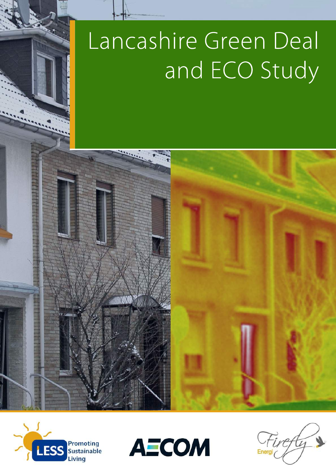# Lancashire Green Deal and ECO Study







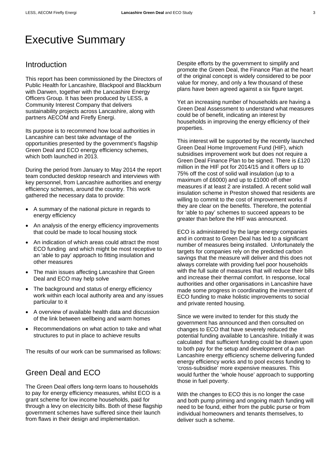## Executive Summary

## Introduction

This report has been commissioned by the Directors of Public Health for Lancashire, Blackpool and Blackburn with Darwen, together with the Lancashire Energy Officers Group. It has been produced by LESS, a Community Interest Company that delivers sustainability projects across Lancashire, along with partners AECOM and Firefly Energi.

Its purpose is to recommend how local authorities in Lancashire can best take advantage of the opportunities presented by the government's flagship Green Deal and ECO energy efficiency schemes, which both launched in 2013.

During the period from January to May 2014 the report team conducted desktop research and interviews with key personnel, from Lancashire authorities and energy efficiency schemes, around the country. This work gathered the necessary data to provide:

- A summary of the national picture in regards to energy efficiency
- An analysis of the energy efficiency improvements that could be made to local housing stock
- An indication of which areas could attract the most ECO funding and which might be most receptive to an 'able to pay' approach to fitting insulation and other measures
- The main issues affecting Lancashire that Green Deal and ECO may help solve
- The background and status of energy efficiency work within each local authority area and any issues particular to it
- A overview of available health data and discussion of the link between wellbeing and warm homes
- Recommendations on what action to take and what structures to put in place to achieve results

The results of our work can be summarised as follows:

## Green Deal and ECO

The Green Deal offers long-term loans to households to pay for energy efficiency measures, whilst ECO is a grant scheme for low income households, paid for through a levy on electricity bills. Both of these flagship government schemes have suffered since their launch from flaws in their design and implementation.

Despite efforts by the government to simplify and promote the Green Deal, the Finance Plan at the heart of the original concept is widely considered to be poor value for money, and only a few thousand of these plans have been agreed against a six figure target.

Yet an increasing number of households are having a Green Deal Assessment to understand what measures could be of benefit, indicating an interest by households in improving the energy efficiency of their properties.

This interest will be supported by the recently launched Green Deal Home Improvement Fund (HIF), which subsidises improvement work but does not require a Green Deal Finance Plan to be signed. There is £120 million in the HIF pot for 2014/15 and it offers up to 75% off the cost of solid wall insulation (up to a maximum of £6000) and up to £1000 off other measures if at least 2 are installed. A recent solid wall insulation scheme in Preston showed that residents are willing to commit to the cost of improvement works if they are clear on the benefits. Therefore, the potential for 'able to pay' schemes to succeed appears to be greater than before the HIF was announced.

ECO is administered by the large energy companies and in contrast to Green Deal has led to a significant number of measures being installed. Unfortunately the targets for companies rely on the predicted carbon savings that the measure will deliver and this does not always correlate with providing fuel poor households with the full suite of measures that will reduce their bills and increase their thermal comfort. In response, local authorities and other organisations in Lancashire have made some progress in coordinating the investment of ECO funding to make holistic improvements to social and private rented housing.

Since we were invited to tender for this study the government has announced and then consulted on changes to ECO that have severely reduced the potential funding available to Lancashire. Initially it was calculated that sufficient funding could be drawn upon to both pay for the setup and development of a pan Lancashire energy efficiency scheme delivering funded energy efficiency works and to pool excess funding to 'cross-subsidise' more expensive measures. This would further the 'whole house' approach to supporting those in fuel poverty.

With the changes to ECO this is no longer the case and both pump priming and ongoing match funding will need to be found, either from the public purse or from individual homeowners and tenants themselves, to deliver such a scheme.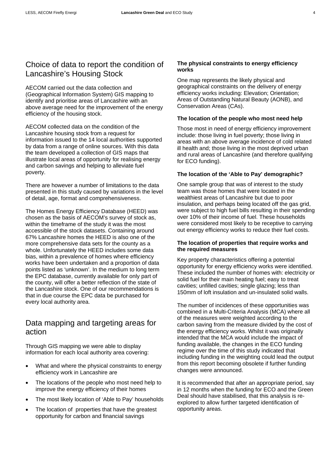AECOM carried out the data collection and (Geographical Information System) GIS mapping to identify and prioritise areas of Lancashire with an above average need for the improvement of the energy efficiency of the housing stock.

AECOM collected data on the condition of the Lancashire housing stock from a request for information issued to the 14 local authorities supported by data from a range of online sources. With this data the team developed a collection of GIS maps that illustrate local areas of opportunity for realising energy and carbon savings and helping to alleviate fuel poverty.

There are however a number of limitations to the data presented in this study caused by variations in the level of detail, age, format and comprehensiveness.

The Homes Energy Efficiency Database (HEED) was chosen as the basis of AECOM's survey of stock as, within the timeframe of the study it was the most accessible of the stock datasets. Containing around 67% Lancashire homes the HEED is also one of the more comprehensive data sets for the county as a whole. Unfortunately the HEED includes some data bias, within a prevalence of homes where efficiency works have been undertaken and a proportion of data points listed as 'unknown'. In the medium to long term the EPC database, currently available for only part of the county, will offer a better reflection of the state of the Lancashire stock. One of our recommendations is that in due course the EPC data be purchased for every local authority area.

## Data mapping and targeting areas for action

Through GIS mapping we were able to display information for each local authority area covering:

- What and where the physical constraints to energy efficiency work in Lancashire are
- The locations of the people who most need help to improve the energy efficiency of their homes
- The most likely location of 'Able to Pay' households
- The location of properties that have the greatest opportunity for carbon and financial savings

#### **The physical constraints to energy efficiency works**

One map represents the likely physical and geographical constraints on the delivery of energy efficiency works including: Elevation; Orientation; Areas of Outstanding Natural Beauty (AONB), and Conservation Areas (CAs).

#### **The location of the people who most need help**

Those most in need of energy efficiency improvement include: those living in fuel poverty; those living in areas with an above average incidence of cold related ill health and; those living in the most deprived urban and rural areas of Lancashire (and therefore qualifying for ECO funding).

#### **The location of the 'Able to Pay' demographic?**

One sample group that was of interest to the study team was those homes that were located in the wealthiest areas of Lancashire but due to poor insulation, and perhaps being located off the gas grid, were subject to high fuel bills resulting in their spending over 10% of their income of fuel. These households were considered most likely to be receptive to carrying out energy efficiency works to reduce their fuel costs.

#### **The location of properties that require works and the required measures**

Key property characteristics offering a potential opportunity for energy efficiency works were identified. These included the number of homes with: electricity or solid fuel for their main heating fuel; easy to treat cavities; unfilled cavities; single glazing; less than 150mm of loft insulation and un-insulated solid walls.

The number of incidences of these opportunities was combined in a Multi-Criteria Analysis (MCA) where all of the measures were weighted according to the carbon saving from the measure divided by the cost of the energy efficiency works. Whilst it was originally intended that the MCA would include the impact of funding available, the changes in the ECO funding regime over the time of this study indicated that including funding in the weighting could lead the output from this report becoming obsolete if further funding changes were announced.

It is recommended that after an appropriate period, say in 12 months when the funding for ECO and the Green Deal should have stabilised, that this analysis is reexplored to allow further targeted identification of opportunity areas.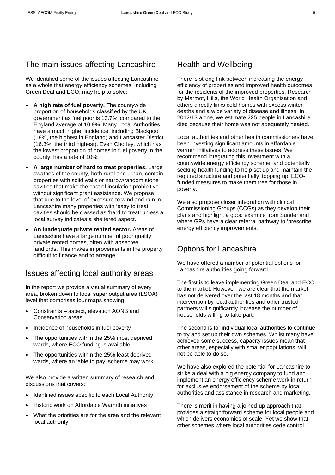## The main issues affecting Lancashire

We identified some of the issues affecting Lancashire as a whole that energy efficiency schemes, including Green Deal and ECO, may help to solve:

- **A high rate of fuel poverty.** The countywide proportion of households classified by the UK government as fuel poor is 13.7%, compared to the England average of 10.9%. Many Local Authorities have a much higher incidence, including Blackpool (18%, the highest in England) and Lancaster District (16.3%, the third highest). Even Chorley, which has the lowest proportion of homes in fuel poverty in the county, has a rate of 10%.
- **A large number of hard to treat properties.** Large swathes of the county, both rural and urban, contain properties with solid walls or narrow/random stone cavities that make the cost of insulation prohibitive without significant grant assistance. We propose that due to the level of exposure to wind and rain in Lancashire many properties with 'easy to treat' cavities should be classed as 'hard to treat' unless a local survey indicates a sheltered aspect.
- **An inadequate private rented sector.** Areas of Lancashire have a large number of poor quality private rented homes, often with absentee landlords. This makes improvements in the property difficult to finance and to arrange.

#### Issues affecting local authority areas

In the report we provide a visual summary of every area, broken down to local super output area (LSOA) level that comprises four maps showing:

- Constraints aspect, elevation AONB and Conservation areas
- Incidence of households in fuel poverty
- The opportunities within the 25% most deprived wards, where ECO funding is available
- The opportunities within the 25% least deprived wards, where an 'able to pay' scheme may work

We also provide a written summary of research and discussions that covers:

- Identified issues specific to each Local Authority
- Historic work on Affordable Warmth initiatives
- What the priorities are for the area and the relevant local authority

## Health and Wellbeing

There is strong link between increasing the energy efficiency of properties and improved health outcomes for the residents of the improved properties. Research by Marmot, Hills, the World Health Organisation and others directly links cold homes with excess winter deaths and a wide variety of disease and illness. In 2012/13 alone, we estimate 225 people in Lancashire died because their home was not adequately heated.

Local authorities and other health commissioners have been investing significant amounts in affordable warmth initiatives to address these issues. We recommend integrating this investment with a countywide energy efficiency scheme, and potentially seeking health funding to help set up and maintain the required structure and potentially 'topping up' ECOfunded measures to make them free for those in poverty.

We also propose closer integration with clinical Commissioning Groups (CCGs) as they develop their plans and highlight a good example from Sunderland where GPs have a clear referral pathway to 'prescribe' energy efficiency improvements.

## Options for Lancashire

We have offered a number of potential options for Lancashire authorities going forward.

The first is to leave implementing Green Deal and ECO to the market. However, we are clear that the market has not delivered over the last 18 months and that intervention by local authorities and other trusted partners will significantly increase the number of households willing to take part.

The second is for individual local authorities to continue to try and set up their own schemes. Whilst many have achieved some success, capacity issues mean that other areas, especially with smaller populations, will not be able to do so.

We have also explored the potential for Lancashire to strike a deal with a big energy company to fund and implement an energy efficiency scheme work in return for exclusive endorsement of the scheme by local authorities and assistance in research and marketing.

There is merit in having a joined-up approach that provides a straightforward scheme for local people and which delivers economies of scale. Yet we show that other schemes where local authorities cede control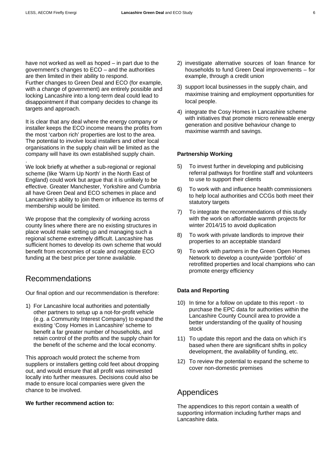have not worked as well as hoped – in part due to the government's changes to ECO – and the authorities are then limited in their ability to respond. Further changes to Green Deal and ECO (for example, with a change of government) are entirely possible and locking Lancashire into a long-term deal could lead to disappointment if that company decides to change its targets and approach.

It is clear that any deal where the energy company or installer keeps the ECO income means the profits from the most 'carbon rich' properties are lost to the area. The potential to involve local installers and other local organisations in the supply chain will be limited as the company will have its own established supply chain. .

We look briefly at whether a sub-regional or regional scheme (like 'Warm Up North' in the North East of England) could work but argue that it is unlikely to be effective. Greater Manchester, Yorkshire and Cumbria all have Green Deal and ECO schemes in place and Lancashire's ability to join them or influence its terms of membership would be limited.

We propose that the complexity of working across county lines where there are no existing structures in place would make setting up and managing such a regional scheme extremely difficult. Lancashire has sufficient homes to develop its own scheme that would benefit from economies of scale and negotiate ECO funding at the best price per tonne available.

#### Recommendations

Our final option and our recommendation is therefore:

1) For Lancashire local authorities and potentially other partners to setup up a not-for-profit vehicle (e.g. a Community Interest Company) to expand the existing 'Cosy Homes in Lancashire' scheme to benefit a far greater number of households, and retain control of the profits and the supply chain for the benefit of the scheme and the local economy.

This approach would protect the scheme from suppliers or installers getting cold feet about dropping out, and would ensure that all profit was reinvested locally into further measures. Decisions could also be made to ensure local companies were given the chance to be involved.

#### **We further recommend action to:**

- 2) investigate alternative sources of loan finance for households to fund Green Deal improvements – for example, through a credit union
- 3) support local businesses in the supply chain, and maximise training and employment opportunities for local people.
- 4) integrate the Cosy Homes in Lancashire scheme with initiatives that promote micro renewable energy generation and positive behaviour change to maximise warmth and savings.

#### **Partnership Working**

- 5) To invest further in developing and publicising referral pathways for frontline staff and volunteers to use to support their clients
- 6) To work with and influence health commissioners to help local authorities and CCGs both meet their statutory targets
- 7) To integrate the recommendations of this study with the work on affordable warmth projects for winter 2014/15 to avoid duplication
- 8) To work with private landlords to improve their properties to an acceptable standard
- 9) To work with partners in the Green Open Homes Network to develop a countywide 'portfolio' of retrofitted properties and local champions who can promote energy efficiency

#### **Data and Reporting**

- 10) In time for a follow on update to this report to purchase the EPC data for authorities within the Lancashire County Council area to provide a better understanding of the quality of housing stock
- 11) To update this report and the data on which it's based when there are significant shifts in policy development, the availability of funding, etc.
- 12) To review the potential to expand the scheme to cover non-domestic premises

## Appendices

The appendices to this report contain a wealth of supporting information including further maps and Lancashire data.